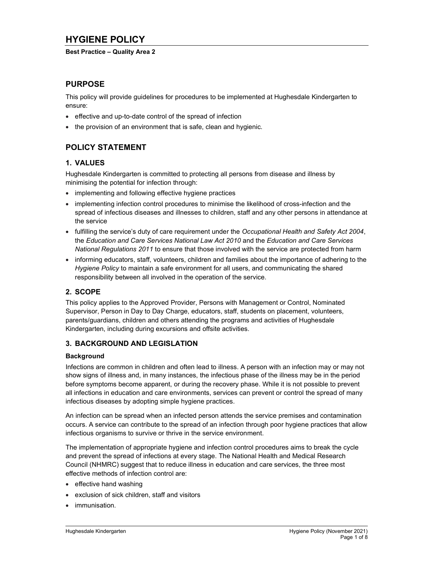# HYGIENE POLICY

### Best Practice – Quality Area 2

## PURPOSE

This policy will provide guidelines for procedures to be implemented at Hughesdale Kindergarten to ensure:

- effective and up-to-date control of the spread of infection
- the provision of an environment that is safe, clean and hygienic.

## POLICY STATEMENT

## 1. VALUES

Hughesdale Kindergarten is committed to protecting all persons from disease and illness by minimising the potential for infection through:

- implementing and following effective hygiene practices
- implementing infection control procedures to minimise the likelihood of cross-infection and the spread of infectious diseases and illnesses to children, staff and any other persons in attendance at the service
- fulfilling the service's duty of care requirement under the Occupational Health and Safety Act 2004, the Education and Care Services National Law Act 2010 and the Education and Care Services National Regulations 2011 to ensure that those involved with the service are protected from harm
- informing educators, staff, volunteers, children and families about the importance of adhering to the Hygiene Policy to maintain a safe environment for all users, and communicating the shared responsibility between all involved in the operation of the service.

## 2. SCOPE

This policy applies to the Approved Provider, Persons with Management or Control, Nominated Supervisor, Person in Day to Day Charge, educators, staff, students on placement, volunteers, parents/guardians, children and others attending the programs and activities of Hughesdale Kindergarten, including during excursions and offsite activities.

## 3. BACKGROUND AND LEGISLATION

### **Background**

Infections are common in children and often lead to illness. A person with an infection may or may not show signs of illness and, in many instances, the infectious phase of the illness may be in the period before symptoms become apparent, or during the recovery phase. While it is not possible to prevent all infections in education and care environments, services can prevent or control the spread of many infectious diseases by adopting simple hygiene practices.

An infection can be spread when an infected person attends the service premises and contamination occurs. A service can contribute to the spread of an infection through poor hygiene practices that allow infectious organisms to survive or thrive in the service environment.

The implementation of appropriate hygiene and infection control procedures aims to break the cycle and prevent the spread of infections at every stage. The National Health and Medical Research Council (NHMRC) suggest that to reduce illness in education and care services, the three most effective methods of infection control are:

- $\bullet$  effective hand washing
- exclusion of sick children, staff and visitors
- immunisation.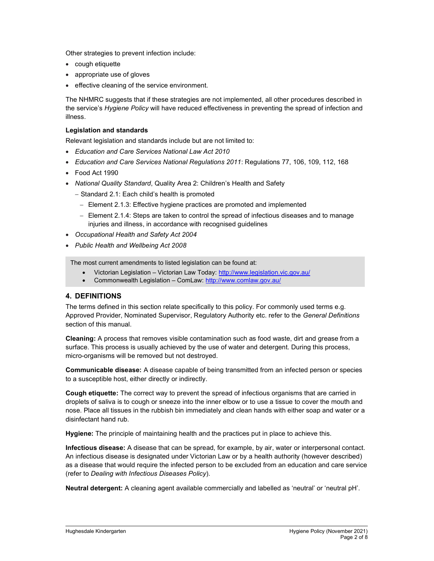Other strategies to prevent infection include:

- cough etiquette
- appropriate use of gloves
- effective cleaning of the service environment.

The NHMRC suggests that if these strategies are not implemented, all other procedures described in the service's Hygiene Policy will have reduced effectiveness in preventing the spread of infection and illness.

#### Legislation and standards

Relevant legislation and standards include but are not limited to:

- Education and Care Services National Law Act 2010
- Education and Care Services National Regulations 2011: Regulations 77, 106, 109, 112, 168
- Food Act 1990
- National Quality Standard, Quality Area 2: Children's Health and Safety
	- Standard 2.1: Each child's health is promoted
		- Element 2.1.3: Effective hygiene practices are promoted and implemented
		- Element 2.1.4: Steps are taken to control the spread of infectious diseases and to manage injuries and illness, in accordance with recognised guidelines
- Occupational Health and Safety Act 2004
- Public Health and Wellbeing Act 2008

The most current amendments to listed legislation can be found at:

- Victorian Legislation Victorian Law Today: http://www.legislation.vic.gov.au/
- Commonwealth Legislation ComLaw: http://www.comlaw.gov.au/

## 4. DEFINITIONS

The terms defined in this section relate specifically to this policy. For commonly used terms e.g. Approved Provider, Nominated Supervisor, Regulatory Authority etc. refer to the General Definitions section of this manual.

Cleaning: A process that removes visible contamination such as food waste, dirt and grease from a surface. This process is usually achieved by the use of water and detergent. During this process, micro-organisms will be removed but not destroyed.

Communicable disease: A disease capable of being transmitted from an infected person or species to a susceptible host, either directly or indirectly.

Cough etiquette: The correct way to prevent the spread of infectious organisms that are carried in droplets of saliva is to cough or sneeze into the inner elbow or to use a tissue to cover the mouth and nose. Place all tissues in the rubbish bin immediately and clean hands with either soap and water or a disinfectant hand rub.

Hygiene: The principle of maintaining health and the practices put in place to achieve this.

Infectious disease: A disease that can be spread, for example, by air, water or interpersonal contact. An infectious disease is designated under Victorian Law or by a health authority (however described) as a disease that would require the infected person to be excluded from an education and care service (refer to Dealing with Infectious Diseases Policy).

Neutral detergent: A cleaning agent available commercially and labelled as 'neutral' or 'neutral pH'.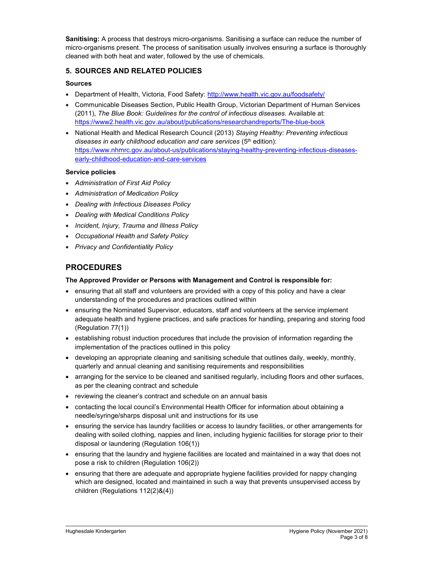Sanitising: A process that destroys micro-organisms. Sanitising a surface can reduce the number of micro-organisms present. The process of sanitisation usually involves ensuring a surface is thoroughly cleaned with both heat and water, followed by the use of chemicals.

## 5. SOURCES AND RELATED POLICIES

## Sources

- Department of Health, Victoria, Food Safety: http://www.health.vic.gov.au/foodsafety/
- Communicable Diseases Section, Public Health Group, Victorian Department of Human Services (2011), The Blue Book: Guidelines for the control of infectious diseases. Available at: https://www2.health.vic.gov.au/about/publications/researchandreports/The-blue-book
- National Health and Medical Research Council (2013) Staying Healthy: Preventing infectious diseases in early childhood education and care services (5<sup>th</sup> edition): https://www.nhmrc.gov.au/about-us/publications/staying-healthy-preventing-infectious-diseasesearly-childhood-education-and-care-services

## Service policies

- Administration of First Aid Policy
- Administration of Medication Policy
- Dealing with Infectious Diseases Policy
- Dealing with Medical Conditions Policy
- Incident, Injury, Trauma and Illness Policy
- Occupational Health and Safety Policy
- Privacy and Confidentiality Policy

## PROCEDURES

## The Approved Provider or Persons with Management and Control is responsible for:

- ensuring that all staff and volunteers are provided with a copy of this policy and have a clear understanding of the procedures and practices outlined within
- ensuring the Nominated Supervisor, educators, staff and volunteers at the service implement adequate health and hygiene practices, and safe practices for handling, preparing and storing food (Regulation 77(1))
- establishing robust induction procedures that include the provision of information regarding the implementation of the practices outlined in this policy
- developing an appropriate cleaning and sanitising schedule that outlines daily, weekly, monthly, quarterly and annual cleaning and sanitising requirements and responsibilities
- arranging for the service to be cleaned and sanitised regularly, including floors and other surfaces, as per the cleaning contract and schedule
- reviewing the cleaner's contract and schedule on an annual basis
- contacting the local council's Environmental Health Officer for information about obtaining a needle/syringe/sharps disposal unit and instructions for its use
- ensuring the service has laundry facilities or access to laundry facilities, or other arrangements for dealing with soiled clothing, nappies and linen, including hygienic facilities for storage prior to their disposal or laundering (Regulation 106(1))
- ensuring that the laundry and hygiene facilities are located and maintained in a way that does not pose a risk to children (Regulation 106(2))
- ensuring that there are adequate and appropriate hygiene facilities provided for nappy changing which are designed, located and maintained in such a way that prevents unsupervised access by children (Regulations 112(2)&(4))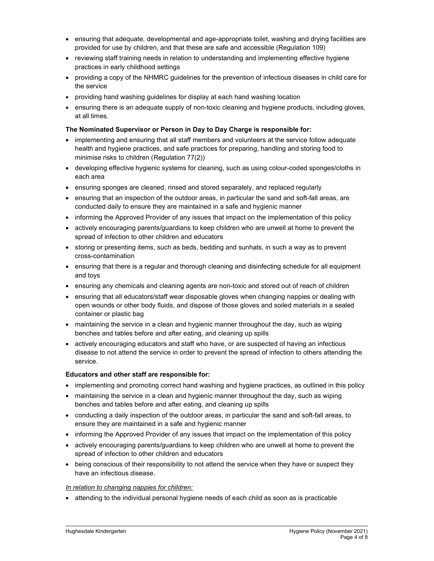- ensuring that adequate, developmental and age-appropriate toilet, washing and drying facilities are provided for use by children, and that these are safe and accessible (Regulation 109)
- reviewing staff training needs in relation to understanding and implementing effective hygiene practices in early childhood settings
- providing a copy of the NHMRC guidelines for the prevention of infectious diseases in child care for the service
- providing hand washing guidelines for display at each hand washing location
- ensuring there is an adequate supply of non-toxic cleaning and hygiene products, including gloves, at all times.

#### The Nominated Supervisor or Person in Day to Day Charge is responsible for:

- implementing and ensuring that all staff members and volunteers at the service follow adequate health and hygiene practices, and safe practices for preparing, handling and storing food to minimise risks to children (Regulation 77(2))
- developing effective hygienic systems for cleaning, such as using colour-coded sponges/cloths in each area
- ensuring sponges are cleaned, rinsed and stored separately, and replaced regularly
- ensuring that an inspection of the outdoor areas, in particular the sand and soft-fall areas, are conducted daily to ensure they are maintained in a safe and hygienic manner
- informing the Approved Provider of any issues that impact on the implementation of this policy
- actively encouraging parents/guardians to keep children who are unwell at home to prevent the spread of infection to other children and educators
- storing or presenting items, such as beds, bedding and sunhats, in such a way as to prevent cross-contamination
- ensuring that there is a regular and thorough cleaning and disinfecting schedule for all equipment and toys
- ensuring any chemicals and cleaning agents are non-toxic and stored out of reach of children
- ensuring that all educators/staff wear disposable gloves when changing nappies or dealing with open wounds or other body fluids, and dispose of those gloves and soiled materials in a sealed container or plastic bag
- maintaining the service in a clean and hygienic manner throughout the day, such as wiping benches and tables before and after eating, and cleaning up spills
- actively encouraging educators and staff who have, or are suspected of having an infectious disease to not attend the service in order to prevent the spread of infection to others attending the service.

#### Educators and other staff are responsible for:

- implementing and promoting correct hand washing and hygiene practices, as outlined in this policy
- maintaining the service in a clean and hygienic manner throughout the day, such as wiping benches and tables before and after eating, and cleaning up spills
- conducting a daily inspection of the outdoor areas, in particular the sand and soft-fall areas, to ensure they are maintained in a safe and hygienic manner
- informing the Approved Provider of any issues that impact on the implementation of this policy
- actively encouraging parents/guardians to keep children who are unwell at home to prevent the spread of infection to other children and educators
- being conscious of their responsibility to not attend the service when they have or suspect they have an infectious disease.

#### In relation to changing nappies for children:

attending to the individual personal hygiene needs of each child as soon as is practicable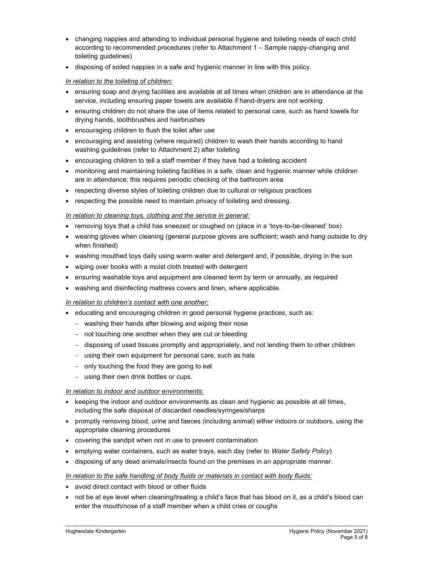- changing nappies and attending to individual personal hygiene and toileting needs of each child according to recommended procedures (refer to Attachment 1 – Sample nappy-changing and toileting guidelines)
- disposing of soiled nappies in a safe and hygienic manner in line with this policy.

## In relation to the toileting of children:

- ensuring soap and drying facilities are available at all times when children are in attendance at the service, including ensuring paper towels are available if hand-dryers are not working
- ensuring children do not share the use of items related to personal care, such as hand towels for drying hands, toothbrushes and hairbrushes
- encouraging children to flush the toilet after use
- encouraging and assisting (where required) children to wash their hands according to hand washing guidelines (refer to Attachment 2) after toileting
- encouraging children to tell a staff member if they have had a toileting accident
- monitoring and maintaining toileting facilities in a safe, clean and hygienic manner while children are in attendance; this requires periodic checking of the bathroom area
- respecting diverse styles of toileting children due to cultural or religious practices
- respecting the possible need to maintain privacy of toileting and dressing.

## In relation to cleaning toys, clothing and the service in general:

- removing toys that a child has sneezed or coughed on (place in a 'toys-to-be-cleaned' box)
- wearing gloves when cleaning (general purpose gloves are sufficient; wash and hang outside to dry when finished)
- washing mouthed toys daily using warm water and detergent and, if possible, drying in the sun
- wiping over books with a moist cloth treated with detergent
- ensuring washable toys and equipment are cleaned term by term or annually, as required
- washing and disinfecting mattress covers and linen, where applicable.

## In relation to children's contact with one another:

- educating and encouraging children in good personal hygiene practices, such as:
	- washing their hands after blowing and wiping their nose
	- not touching one another when they are cut or bleeding
	- disposing of used tissues promptly and appropriately, and not lending them to other children
	- using their own equipment for personal care, such as hats
	- only touching the food they are going to eat
	- using their own drink bottles or cups.

### In relation to indoor and outdoor environments:

- $\bullet$  keeping the indoor and outdoor environments as clean and hygienic as possible at all times, including the safe disposal of discarded needles/syringes/sharps
- promptly removing blood, urine and faeces (including animal) either indoors or outdoors, using the appropriate cleaning procedures
- covering the sandpit when not in use to prevent contamination
- emptying water containers, such as water trays, each day (refer to Water Safety Policy)
- disposing of any dead animals/insects found on the premises in an appropriate manner.

### In relation to the safe handling of body fluids or materials in contact with body fluids:

- avoid direct contact with blood or other fluids
- not be at eye level when cleaning/treating a child's face that has blood on it, as a child's blood can enter the mouth/nose of a staff member when a child cries or coughs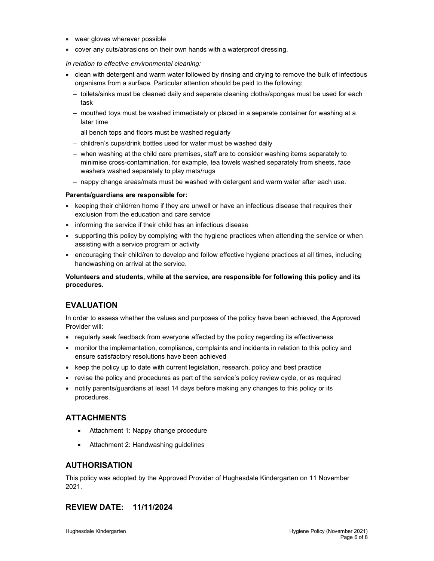- wear gloves wherever possible
- cover any cuts/abrasions on their own hands with a waterproof dressing.

### In relation to effective environmental cleaning:

- clean with detergent and warm water followed by rinsing and drying to remove the bulk of infectious organisms from a surface. Particular attention should be paid to the following:
	- toilets/sinks must be cleaned daily and separate cleaning cloths/sponges must be used for each task
	- mouthed toys must be washed immediately or placed in a separate container for washing at a later time
	- all bench tops and floors must be washed regularly
	- children's cups/drink bottles used for water must be washed daily
	- when washing at the child care premises, staff are to consider washing items separately to minimise cross-contamination, for example, tea towels washed separately from sheets, face washers washed separately to play mats/rugs
	- nappy change areas/mats must be washed with detergent and warm water after each use.

## Parents/guardians are responsible for:

- keeping their child/ren home if they are unwell or have an infectious disease that requires their exclusion from the education and care service
- informing the service if their child has an infectious disease
- supporting this policy by complying with the hygiene practices when attending the service or when assisting with a service program or activity
- encouraging their child/ren to develop and follow effective hygiene practices at all times, including handwashing on arrival at the service.

Volunteers and students, while at the service, are responsible for following this policy and its procedures.

## EVALUATION

In order to assess whether the values and purposes of the policy have been achieved, the Approved Provider will:

- regularly seek feedback from everyone affected by the policy regarding its effectiveness
- monitor the implementation, compliance, complaints and incidents in relation to this policy and ensure satisfactory resolutions have been achieved
- keep the policy up to date with current legislation, research, policy and best practice
- revise the policy and procedures as part of the service's policy review cycle, or as required
- notify parents/guardians at least 14 days before making any changes to this policy or its procedures.

## ATTACHMENTS

- Attachment 1: Nappy change procedure
- Attachment 2: Handwashing guidelines

## AUTHORISATION

This policy was adopted by the Approved Provider of Hughesdale Kindergarten on 11 November 2021.

## REVIEW DATE: 11/11/2024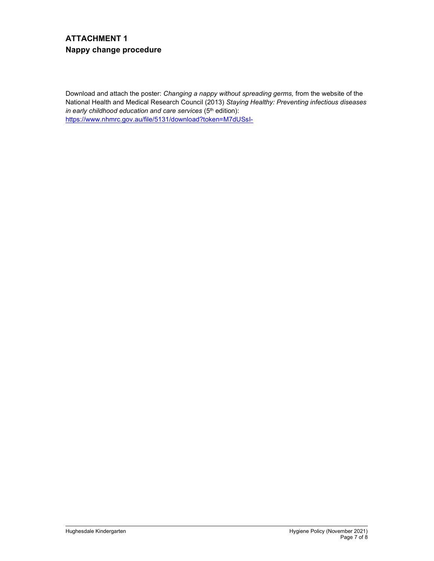# ATTACHMENT 1 Nappy change procedure

Download and attach the poster: Changing a nappy without spreading germs, from the website of the National Health and Medical Research Council (2013) Staying Healthy: Preventing infectious diseases in early childhood education and care services  $(5<sup>th</sup>$  edition): https://www.nhmrc.gov.au/file/5131/download?token=M7dUSsI-